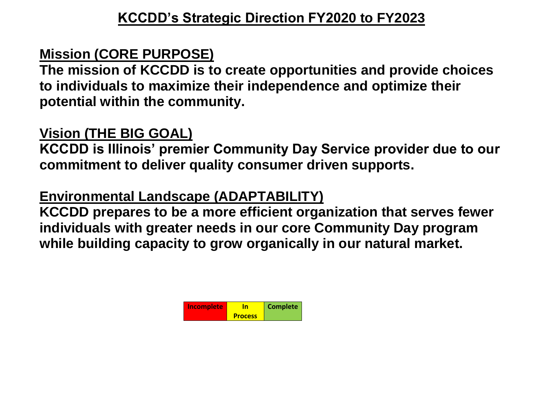## **Mission (CORE PURPOSE)**

**The mission of KCCDD is to create opportunities and provide choices to individuals to maximize their independence and optimize their potential within the community.**

## **Vision (THE BIG GOAL)**

**KCCDD is Illinois' premier Community Day Service provider due to our commitment to deliver quality consumer driven supports.**

## **Environmental Landscape (ADAPTABILITY)**

**KCCDD prepares to be a more efficient organization that serves fewer individuals with greater needs in our core Community Day program while building capacity to grow organically in our natural market.**

| Incomplete |                | <b>Complete</b> |
|------------|----------------|-----------------|
|            | <b>Process</b> |                 |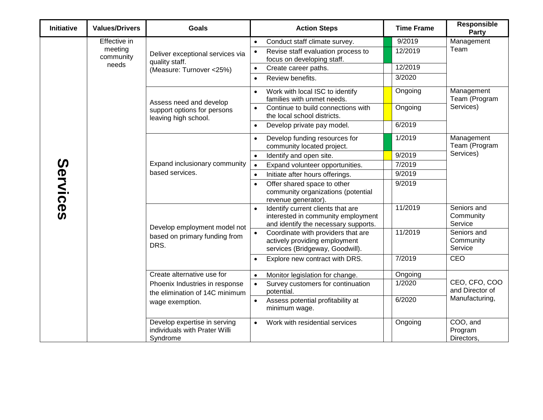| <b>Initiative</b> | <b>Values/Drivers</b>                         | <b>Goals</b>                                                                                   | <b>Action Steps</b>                                                                                                                                              | <b>Time Frame</b>            | Responsible<br><b>Party</b>              |
|-------------------|-----------------------------------------------|------------------------------------------------------------------------------------------------|------------------------------------------------------------------------------------------------------------------------------------------------------------------|------------------------------|------------------------------------------|
| Services          | Effective in<br>meeting<br>community<br>needs | Deliver exceptional services via<br>quality staff.<br>(Measure: Turnover <25%)                 | Conduct staff climate survey.<br>$\bullet$<br>Revise staff evaluation process to<br>$\bullet$<br>focus on developing staff.<br>Create career paths.<br>$\bullet$ | 9/2019<br>12/2019<br>12/2019 | Management<br>Team                       |
|                   |                                               | Assess need and develop<br>support options for persons<br>leaving high school.                 | Review benefits.<br>$\bullet$<br>Work with local ISC to identify<br>$\bullet$                                                                                    | 3/2020<br>Ongoing            | Management<br>Team (Program<br>Services) |
|                   |                                               |                                                                                                | families with unmet needs.<br>Continue to build connections with<br>$\bullet$<br>the local school districts.                                                     | Ongoing                      |                                          |
|                   |                                               | Expand inclusionary community<br>based services.                                               | Develop private pay model.<br>$\bullet$<br>Develop funding resources for<br>$\bullet$<br>community located project.                                              | 6/2019<br>1/2019             | Management<br>Team (Program<br>Services) |
|                   |                                               |                                                                                                | Identify and open site.<br>$\bullet$<br>Expand volunteer opportunities.<br>$\bullet$                                                                             | 9/2019<br>7/2019             |                                          |
|                   |                                               |                                                                                                | Initiate after hours offerings.<br>$\bullet$<br>Offer shared space to other<br>$\bullet$<br>community organizations (potential<br>revenue generator).            | 9/2019<br>9/2019             |                                          |
|                   |                                               | Develop employment model not<br>based on primary funding from<br>DRS.                          | Identify current clients that are<br>$\bullet$<br>interested in community employment<br>and identify the necessary supports.                                     | 11/2019                      | Seniors and<br>Community<br>Service      |
|                   |                                               |                                                                                                | Coordinate with providers that are<br>$\bullet$<br>actively providing employment<br>services (Bridgeway, Goodwill).                                              | 11/2019                      | Seniors and<br>Community<br>Service      |
|                   |                                               |                                                                                                | Explore new contract with DRS.<br>$\bullet$                                                                                                                      | 7/2019                       | <b>CEO</b>                               |
|                   |                                               | Create alternative use for<br>Phoenix Industries in response<br>the elimination of 14C minimum | Monitor legislation for change.<br>$\bullet$<br>Survey customers for continuation<br>$\bullet$<br>potential.                                                     | Ongoing<br>1/2020            | CEO, CFO, COO<br>and Director of         |
|                   |                                               | wage exemption.                                                                                | Assess potential profitability at<br>$\bullet$<br>minimum wage.                                                                                                  | 6/2020                       | Manufacturing,                           |
|                   |                                               | Develop expertise in serving<br>individuals with Prater Willi<br>Syndrome                      | Work with residential services                                                                                                                                   | Ongoing                      | COO, and<br>Program<br>Directors.        |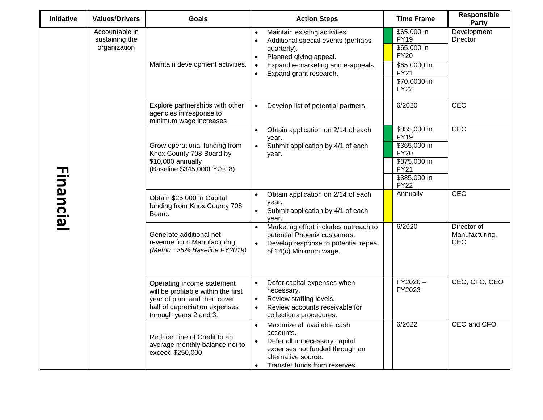| <b>Initiative</b> | <b>Values/Drivers</b>                            | Goals                                                                                                                                                        | <b>Action Steps</b>                                                                                                                                                                                                             | <b>Time Frame</b>                                                                                                        | <b>Responsible</b><br>Party          |
|-------------------|--------------------------------------------------|--------------------------------------------------------------------------------------------------------------------------------------------------------------|---------------------------------------------------------------------------------------------------------------------------------------------------------------------------------------------------------------------------------|--------------------------------------------------------------------------------------------------------------------------|--------------------------------------|
|                   | Accountable in<br>sustaining the<br>organization | Maintain development activities.                                                                                                                             | Maintain existing activities.<br>$\bullet$<br>Additional special events (perhaps<br>quarterly).<br>Planned giving appeal.<br>$\bullet$<br>Expand e-marketing and e-appeals.<br>$\bullet$<br>Expand grant research.<br>$\bullet$ | \$65,000 in<br><b>FY19</b><br>\$65,000 in<br><b>FY20</b><br>\$65,0000 in<br><b>FY21</b><br>\$70,0000 in<br><b>FY22</b>   | Development<br>Director              |
|                   |                                                  | Explore partnerships with other<br>agencies in response to<br>minimum wage increases                                                                         | Develop list of potential partners.<br>$\bullet$                                                                                                                                                                                | 6/2020                                                                                                                   | CEO                                  |
| Financial         |                                                  | Grow operational funding from<br>Knox County 708 Board by<br>\$10,000 annually<br>(Baseline \$345,000FY2018).                                                | Obtain application on 2/14 of each<br>$\bullet$<br>year.<br>Submit application by 4/1 of each<br>$\bullet$<br>year.                                                                                                             | \$355,000 in<br><b>FY19</b><br>\$365,000 in<br><b>FY20</b><br>\$375,000 in<br><b>FY21</b><br>\$385,000 in<br><b>FY22</b> | CEO                                  |
|                   |                                                  | Obtain \$25,000 in Capital<br>funding from Knox County 708<br>Board.                                                                                         | Obtain application on 2/14 of each<br>$\bullet$<br>year.<br>Submit application by 4/1 of each<br>$\bullet$<br>year.                                                                                                             | Annually                                                                                                                 | CEO                                  |
|                   |                                                  | Generate additional net<br>revenue from Manufacturing<br>(Metric =>5% Baseline FY2019)                                                                       | Marketing effort includes outreach to<br>$\bullet$<br>potential Phoenix customers.<br>Develop response to potential repeal<br>of 14(c) Minimum wage.                                                                            | 6/2020                                                                                                                   | Director of<br>Manufacturing,<br>CEO |
|                   |                                                  | Operating income statement<br>will be profitable within the first<br>year of plan, and then cover<br>half of depreciation expenses<br>through years 2 and 3. | Defer capital expenses when<br>necessary.<br>Review staffing levels.<br>$\bullet$<br>Review accounts receivable for<br>$\bullet$<br>collections procedures.                                                                     | $FY2020-$<br>FY2023                                                                                                      | CEO, CFO, CEO                        |
|                   |                                                  | Reduce Line of Credit to an<br>average monthly balance not to<br>exceed \$250,000                                                                            | Maximize all available cash<br>$\bullet$<br>accounts.<br>Defer all unnecessary capital<br>$\bullet$<br>expenses not funded through an<br>alternative source.<br>Transfer funds from reserves.<br>$\bullet$                      | 6/2022                                                                                                                   | CEO and CFO                          |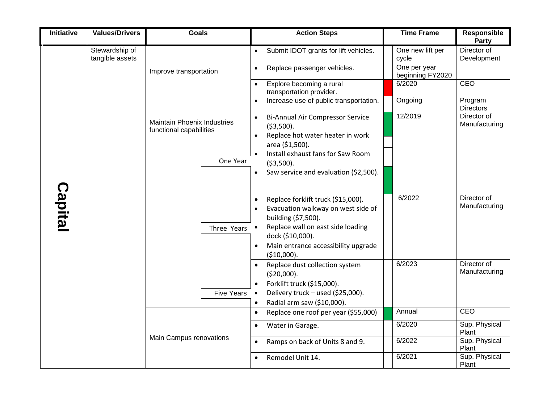| <b>Initiative</b> | <b>Values/Drivers</b>             | <b>Goals</b>                                                              | <b>Action Steps</b>                                                                                                                                                                                                                      | <b>Time Frame</b>                | <b>Responsible</b><br>Party  |
|-------------------|-----------------------------------|---------------------------------------------------------------------------|------------------------------------------------------------------------------------------------------------------------------------------------------------------------------------------------------------------------------------------|----------------------------------|------------------------------|
|                   | Stewardship of<br>tangible assets | Improve transportation                                                    | Submit IDOT grants for lift vehicles.<br>$\bullet$                                                                                                                                                                                       | One new lift per<br>cycle        | Director of<br>Development   |
|                   |                                   |                                                                           | Replace passenger vehicles.<br>$\bullet$                                                                                                                                                                                                 | One per year<br>beginning FY2020 |                              |
|                   |                                   |                                                                           | Explore becoming a rural<br>$\bullet$<br>transportation provider.                                                                                                                                                                        | 6/2020                           | <b>CEO</b>                   |
|                   |                                   |                                                                           | Increase use of public transportation.<br>$\bullet$                                                                                                                                                                                      | Ongoing                          | Program<br><b>Directors</b>  |
| <b>Capital</b>    |                                   | <b>Maintain Phoenix Industries</b><br>functional capabilities<br>One Year | Bi-Annual Air Compressor Service<br>$\bullet$<br>(53,500).<br>Replace hot water heater in work<br>$\bullet$<br>area (\$1,500).<br>Install exhaust fans for Saw Room<br>( \$3,500).<br>Saw service and evaluation (\$2,500).<br>$\bullet$ | 12/2019                          | Director of<br>Manufacturing |
|                   |                                   | Three Years                                                               | Replace forklift truck (\$15,000).<br>Evacuation walkway on west side of<br>building (\$7,500).<br>Replace wall on east side loading<br>$\bullet$<br>dock (\$10,000).<br>Main entrance accessibility upgrade<br>(\$10,000).              | 6/2022                           | Director of<br>Manufacturing |
|                   |                                   | <b>Five Years</b>                                                         | Replace dust collection system<br>(520,000).<br>Forklift truck (\$15,000).<br>Delivery truck - used (\$25,000).<br>$\bullet$<br>Radial arm saw (\$10,000).<br>$\bullet$                                                                  | 6/2023                           | Director of<br>Manufacturing |
|                   |                                   |                                                                           | Replace one roof per year (\$55,000)<br>$\bullet$                                                                                                                                                                                        | Annual                           | CEO                          |
|                   |                                   |                                                                           | Water in Garage.<br>$\bullet$                                                                                                                                                                                                            | 6/2020                           | Sup. Physical<br>Plant       |
|                   |                                   | Main Campus renovations                                                   | Ramps on back of Units 8 and 9.<br>$\bullet$                                                                                                                                                                                             | 6/2022                           | Sup. Physical<br>Plant       |
|                   |                                   |                                                                           | Remodel Unit 14.<br>$\bullet$                                                                                                                                                                                                            | 6/2021                           | Sup. Physical<br>Plant       |